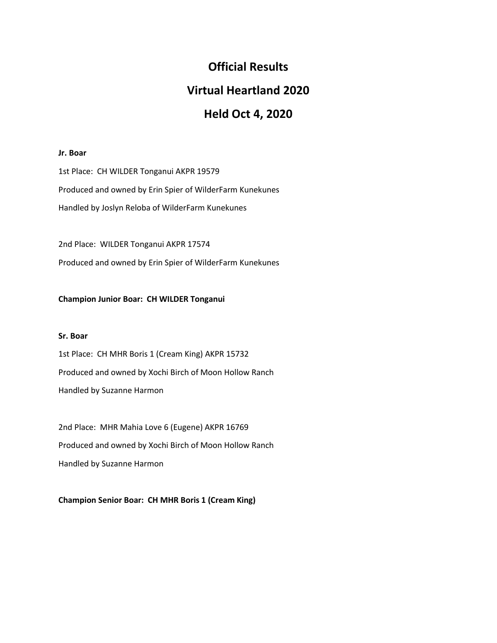# **Official Results**

# **Virtual Heartland 2020**

# **Held Oct 4, 2020**

# **Jr. Boar**

1st Place: CH WILDER Tonganui AKPR 19579 Produced and owned by Erin Spier of WilderFarm Kunekunes Handled by Joslyn Reloba of WilderFarm Kunekunes

2nd Place: WILDER Tonganui AKPR 17574 Produced and owned by Erin Spier of WilderFarm Kunekunes

# **Champion Junior Boar: CH WILDER Tonganui**

# **Sr. Boar**

1st Place: CH MHR Boris 1 (Cream King) AKPR 15732 Produced and owned by Xochi Birch of Moon Hollow Ranch Handled by Suzanne Harmon

2nd Place: MHR Mahia Love 6 (Eugene) AKPR 16769 Produced and owned by Xochi Birch of Moon Hollow Ranch Handled by Suzanne Harmon

**Champion Senior Boar: CH MHR Boris 1 (Cream King)**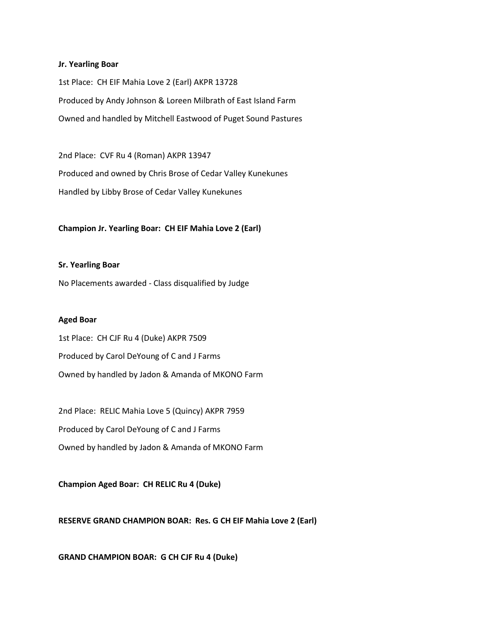#### **Jr. Yearling Boar**

1st Place: CH EIF Mahia Love 2 (Earl) AKPR 13728 Produced by Andy Johnson & Loreen Milbrath of East Island Farm Owned and handled by Mitchell Eastwood of Puget Sound Pastures

2nd Place: CVF Ru 4 (Roman) AKPR 13947 Produced and owned by Chris Brose of Cedar Valley Kunekunes Handled by Libby Brose of Cedar Valley Kunekunes

## **Champion Jr. Yearling Boar: CH EIF Mahia Love 2 (Earl)**

#### **Sr. Yearling Boar**

No Placements awarded - Class disqualified by Judge

#### **Aged Boar**

1st Place: CH CJF Ru 4 (Duke) AKPR 7509 Produced by Carol DeYoung of C and J Farms Owned by handled by Jadon & Amanda of MKONO Farm

2nd Place: RELIC Mahia Love 5 (Quincy) AKPR 7959 Produced by Carol DeYoung of C and J Farms Owned by handled by Jadon & Amanda of MKONO Farm

**Champion Aged Boar: CH RELIC Ru 4 (Duke)**

**RESERVE GRAND CHAMPION BOAR: Res. G CH EIF Mahia Love 2 (Earl)**

**GRAND CHAMPION BOAR: G CH CJF Ru 4 (Duke)**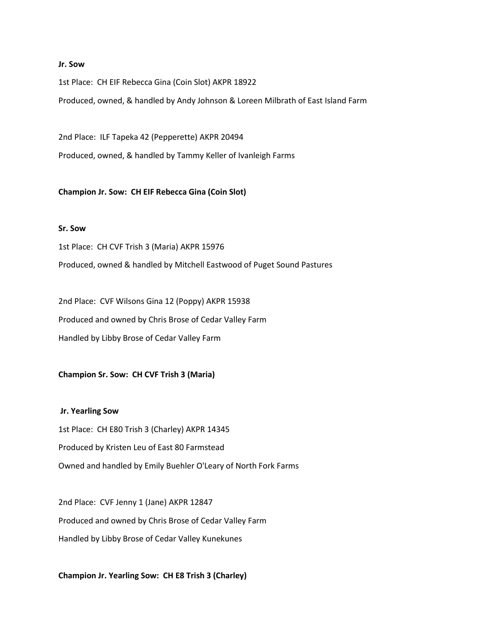#### **Jr. Sow**

1st Place: CH EIF Rebecca Gina (Coin Slot) AKPR 18922 Produced, owned, & handled by Andy Johnson & Loreen Milbrath of East Island Farm

2nd Place: ILF Tapeka 42 (Pepperette) AKPR 20494 Produced, owned, & handled by Tammy Keller of Ivanleigh Farms

**Champion Jr. Sow: CH EIF Rebecca Gina (Coin Slot)**

## **Sr. Sow**

1st Place: CH CVF Trish 3 (Maria) AKPR 15976 Produced, owned & handled by Mitchell Eastwood of Puget Sound Pastures

2nd Place: CVF Wilsons Gina 12 (Poppy) AKPR 15938 Produced and owned by Chris Brose of Cedar Valley Farm Handled by Libby Brose of Cedar Valley Farm

# **Champion Sr. Sow: CH CVF Trish 3 (Maria)**

**Jr. Yearling Sow** 1st Place: CH E80 Trish 3 (Charley) AKPR 14345 Produced by Kristen Leu of East 80 Farmstead Owned and handled by Emily Buehler O'Leary of North Fork Farms

2nd Place: CVF Jenny 1 (Jane) AKPR 12847 Produced and owned by Chris Brose of Cedar Valley Farm Handled by Libby Brose of Cedar Valley Kunekunes

**Champion Jr. Yearling Sow: CH E8 Trish 3 (Charley)**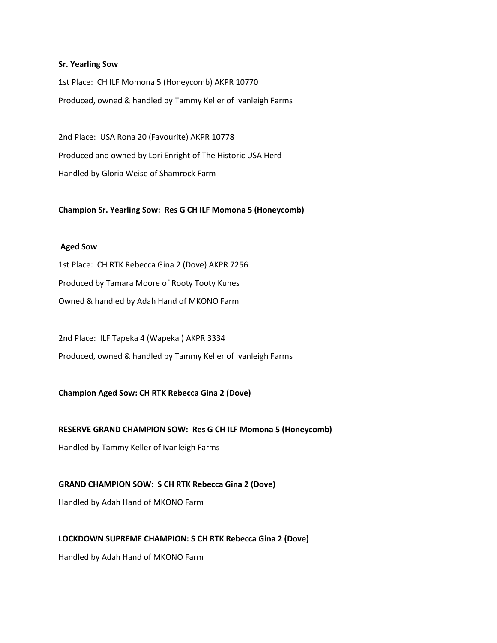#### **Sr. Yearling Sow**

1st Place: CH ILF Momona 5 (Honeycomb) AKPR 10770 Produced, owned & handled by Tammy Keller of Ivanleigh Farms

2nd Place: USA Rona 20 (Favourite) AKPR 10778 Produced and owned by Lori Enright of The Historic USA Herd Handled by Gloria Weise of Shamrock Farm

**Champion Sr. Yearling Sow: Res G CH ILF Momona 5 (Honeycomb)**

## **Aged Sow**

1st Place: CH RTK Rebecca Gina 2 (Dove) AKPR 7256 Produced by Tamara Moore of Rooty Tooty Kunes Owned & handled by Adah Hand of MKONO Farm

2nd Place: ILF Tapeka 4 (Wapeka ) AKPR 3334 Produced, owned & handled by Tammy Keller of Ivanleigh Farms

# **Champion Aged Sow: CH RTK Rebecca Gina 2 (Dove)**

## **RESERVE GRAND CHAMPION SOW: Res G CH ILF Momona 5 (Honeycomb)**

Handled by Tammy Keller of Ivanleigh Farms

# **GRAND CHAMPION SOW: S CH RTK Rebecca Gina 2 (Dove)**

Handled by Adah Hand of MKONO Farm

## **LOCKDOWN SUPREME CHAMPION: S CH RTK Rebecca Gina 2 (Dove)**

Handled by Adah Hand of MKONO Farm